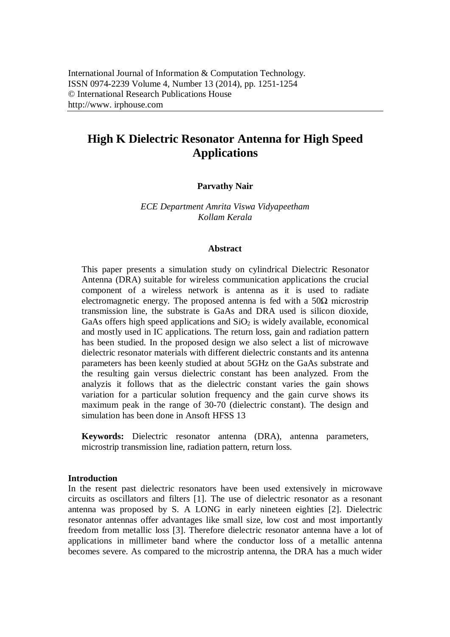# **High K Dielectric Resonator Antenna for High Speed Applications**

# **Parvathy Nair**

*ECE Department Amrita Viswa Vidyapeetham Kollam Kerala*

#### **Abstract**

This paper presents a simulation study on cylindrical Dielectric Resonator Antenna (DRA) suitable for wireless communication applications the crucial component of a wireless network is antenna as it is used to radiate electromagnetic energy. The proposed antenna is fed with a  $50\Omega$  microstrip transmission line, the substrate is GaAs and DRA used is silicon dioxide, GaAs offers high speed applications and  $SiO<sub>2</sub>$  is widely available, economical and mostly used in IC applications. The return loss, gain and radiation pattern has been studied. In the proposed design we also select a list of microwave dielectric resonator materials with different dielectric constants and its antenna parameters has been keenly studied at about 5GHz on the GaAs substrate and the resulting gain versus dielectric constant has been analyzed. From the analyzis it follows that as the dielectric constant varies the gain shows variation for a particular solution frequency and the gain curve shows its maximum peak in the range of 30-70 (dielectric constant). The design and simulation has been done in Ansoft HFSS 13

**Keywords:** Dielectric resonator antenna (DRA), antenna parameters, microstrip transmission line, radiation pattern, return loss.

#### **Introduction**

In the resent past dielectric resonators have been used extensively in microwave circuits as oscillators and filters [1]. The use of dielectric resonator as a resonant antenna was proposed by S. A LONG in early nineteen eighties [2]. Dielectric resonator antennas offer advantages like small size, low cost and most importantly freedom from metallic loss [3]. Therefore dielectric resonator antenna have a lot of applications in millimeter band where the conductor loss of a metallic antenna becomes severe. As compared to the microstrip antenna, the DRA has a much wider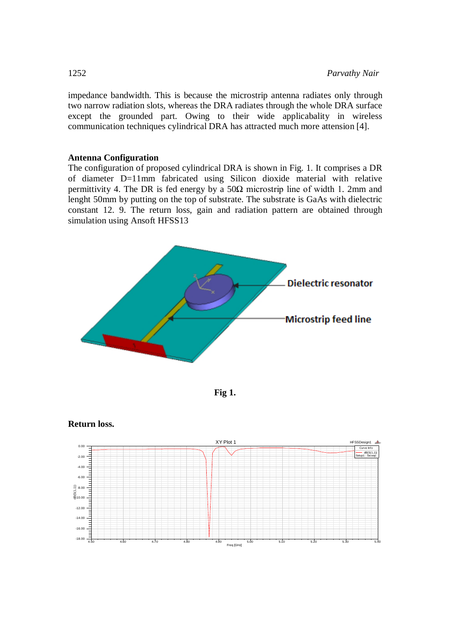impedance bandwidth. This is because the microstrip antenna radiates only through two narrow radiation slots, whereas the DRA radiates through the whole DRA surface except the grounded part. Owing to their wide applicabality in wireless communication techniques cylindrical DRA has attracted much more attension [4].

## **Antenna Configuration**

The configuration of proposed cylindrical DRA is shown in Fig. 1. It comprises a DR of diameter D=11mm fabricated using Silicon dioxide material with relative permittivity 4. The DR is fed energy by a  $50\Omega$  microstrip line of width 1. 2mm and lenght 50mm by putting on the top of substrate. The substrate is GaAs with dielectric constant 12. 9. The return loss, gain and radiation pattern are obtained through simulation using Ansoft HFSS13







**Return loss.**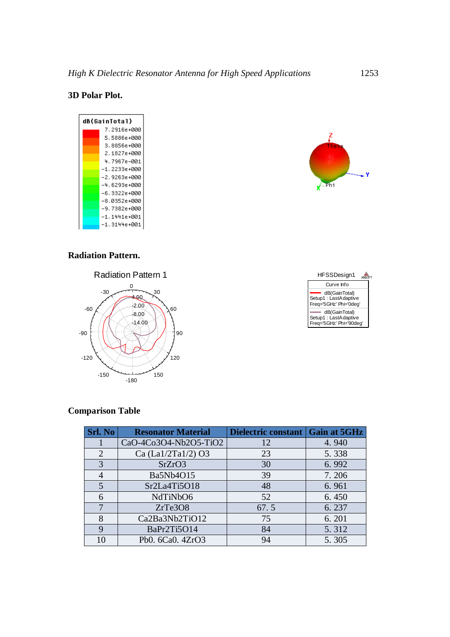# **3D Polar Plot.**

| dB(GainTotal) |              |  |  |  |
|---------------|--------------|--|--|--|
|               | 7.2916е+000  |  |  |  |
|               | 5.5886e+000  |  |  |  |
|               | 3.8856e+000  |  |  |  |
|               | 2.1827е+000  |  |  |  |
|               | 4.7967e-001  |  |  |  |
|               | –1.2233е+000 |  |  |  |
|               | -2.9263е+000 |  |  |  |
|               | -4.6293е+000 |  |  |  |
|               | -6.3322е+000 |  |  |  |
|               | -8.0352е+000 |  |  |  |
|               | -9.7382е+000 |  |  |  |
|               | –1.1441e+001 |  |  |  |
|               | –1.3144e+001 |  |  |  |

# **Radiation Pattern.**





Z

 $F$ -Phi

# **Comparison Table**

| <b>Srl. No</b> | <b>Resonator Material</b> | Dielectric constant   Gain at 5GHz |       |
|----------------|---------------------------|------------------------------------|-------|
|                | CaO-4Co3O4-Nb2O5-TiO2     | 12                                 | 4.940 |
| $\overline{2}$ | Ca (La1/2Ta1/2) O3        | 23                                 | 5.338 |
| 3              | SrZrO3                    | 30                                 | 6.992 |
| 4              | Ba5Nb4O15                 | 39                                 | 7.206 |
| 5              | Sr2La4Ti5O18              | 48                                 | 6.961 |
| 6              | NdTiNbO6                  | 52                                 | 6.450 |
| 7              | ZrTe3O8                   | 67.5                               | 6.237 |
| 8              | Ca2Ba3Nb2TiO12            | 75                                 | 6.201 |
| 9              | BaPr2Ti5O14               | 84                                 | 5.312 |
| 10             | Pb0. 6Ca0. 4ZrO3          | 94                                 | 5.305 |

۷.